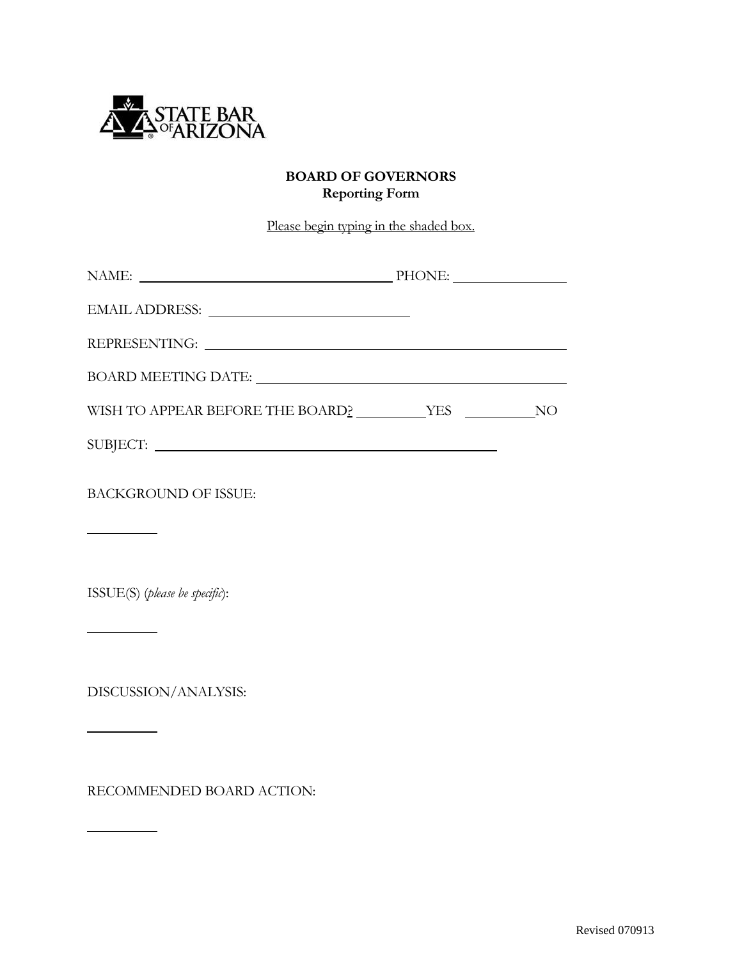

## **BOARD OF GOVERNORS Reporting Form**

Please begin typing in the shaded box.

| <b>BACKGROUND OF ISSUE:</b> |  |
|-----------------------------|--|
|                             |  |

ISSUE(S) (*please be specific*):

**Contract Contract** 

 $\overline{a}$ 

 $\overline{a}$ 

 $\overline{a}$ 

DISCUSSION/ANALYSIS:

RECOMMENDED BOARD ACTION: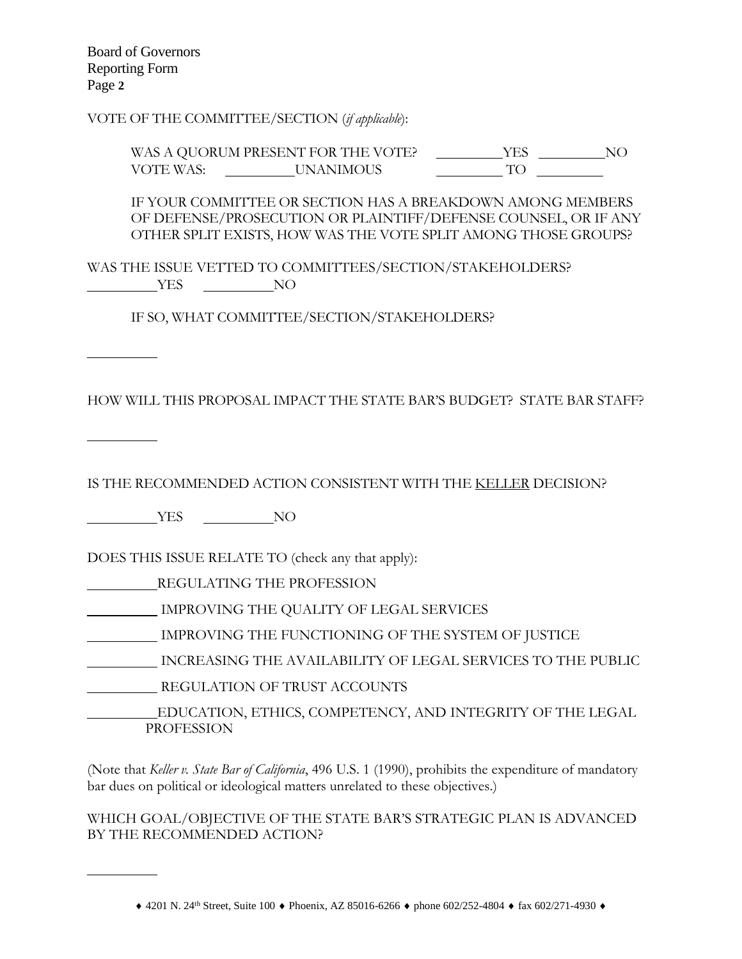Board of Governors Reporting Form Page **2**

VOTE OF THE COMMITTEE/SECTION (*if applicable*):

WAS A QUORUM PRESENT FOR THE VOTE? \_\_\_\_\_\_\_\_\_\_\_YES \_\_\_\_\_\_\_\_\_\_NO VOTE WAS: UNANIMOUS TO

IF YOUR COMMITTEE OR SECTION HAS A BREAKDOWN AMONG MEMBERS OF DEFENSE/PROSECUTION OR PLAINTIFF/DEFENSE COUNSEL, OR IF ANY OTHER SPLIT EXISTS, HOW WAS THE VOTE SPLIT AMONG THOSE GROUPS?

WAS THE ISSUE VETTED TO COMMITTEES/SECTION/STAKEHOLDERS? NO VES NO

IF SO, WHAT COMMITTEE/SECTION/STAKEHOLDERS?

HOW WILL THIS PROPOSAL IMPACT THE STATE BAR'S BUDGET? STATE BAR STAFF?

 $\overline{a}$ 

 $\overline{a}$ 

 $\overline{a}$ 

IS THE RECOMMENDED ACTION CONSISTENT WITH THE KELLER DECISION?

YES NO

DOES THIS ISSUE RELATE TO (check any that apply):

REGULATING THE PROFESSION

IMPROVING THE QUALITY OF LEGAL SERVICES

IMPROVING THE FUNCTIONING OF THE SYSTEM OF JUSTICE

INCREASING THE AVAILABILITY OF LEGAL SERVICES TO THE PUBLIC

REGULATION OF TRUST ACCOUNTS

 EDUCATION, ETHICS, COMPETENCY, AND INTEGRITY OF THE LEGAL **PROFESSION** 

(Note that *Keller v. State Bar of California*, 496 U.S. 1 (1990), prohibits the expenditure of mandatory bar dues on political or ideological matters unrelated to these objectives.)

WHICH GOAL/OBJECTIVE OF THE STATE BAR'S STRATEGIC PLAN IS ADVANCED BY THE RECOMMENDED ACTION?

 $*$  4201 N. 24<sup>th</sup> Street, Suite 100  $*$  Phoenix, AZ 85016-6266  $*$  phone 602/252-4804  $*$  fax 602/271-4930  $*$